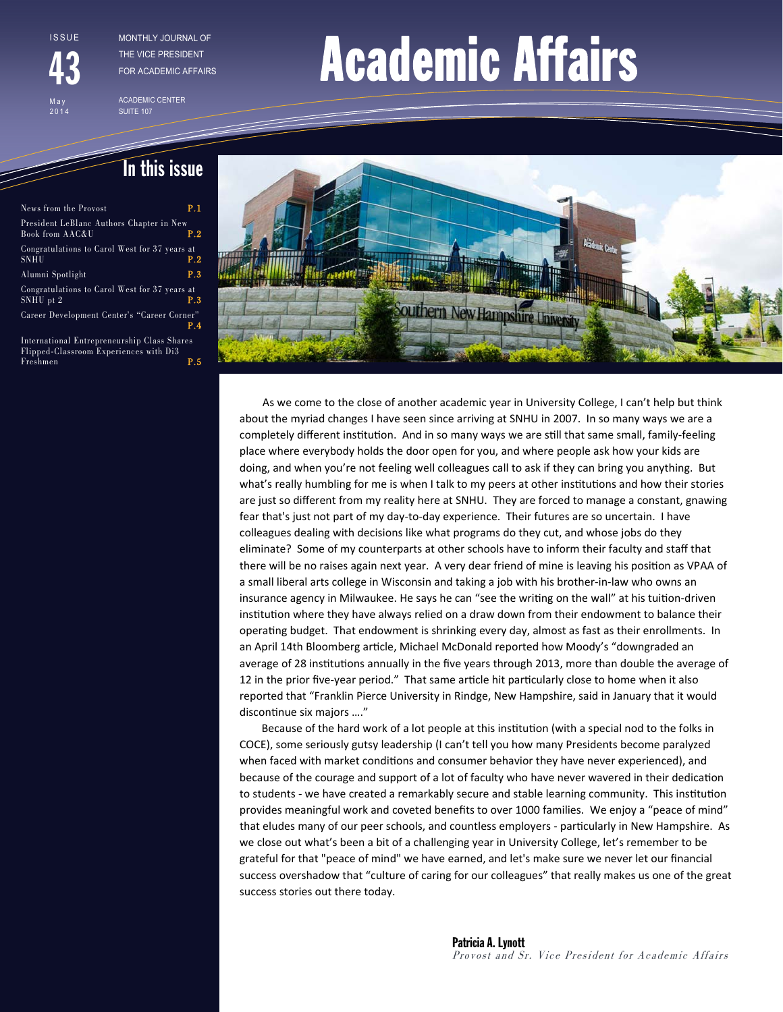**ISSUE** 

May 2014

43

THE VICE PRESIDENT FOR ACADEMIC AFFAIRS

ACADEMIC CENTER SUITE 107

# THE VICE PRESIDENT **ACADEMIC Affairs**

## In this issue

| News from the Provost                                                                                                                                             | P.1 |  |
|-------------------------------------------------------------------------------------------------------------------------------------------------------------------|-----|--|
| President LeBlanc Authors Chapter in New<br>Book from AAC&U                                                                                                       | P.2 |  |
| Congratulations to Carol West for 37 years at<br>SNHU                                                                                                             | P.2 |  |
| Alumni Spotlight                                                                                                                                                  | P.3 |  |
| Congratulations to Carol West for 37 years at<br>SNHU pt 2                                                                                                        | P.3 |  |
| Career Development Center's "Career Corner"                                                                                                                       | P.4 |  |
| International Entrepreneurship Class Shares<br>$\mathbf{E}$ is a set of $\mathbf{E}$ and $\mathbf{E}$ and $\mathbf{E}$ is the set of $\mathbf{E}$ in $\mathbf{E}$ |     |  |

Flipped-Classroom Experiences with Di3 Freshmen **P.5** 



 As we come to the close of another academic year in University College, I can't help but think about the myriad changes I have seen since arriving at SNHU in 2007. In so many ways we are a completely different institution. And in so many ways we are still that same small, family-feeling place where everybody holds the door open for you, and where people ask how your kids are doing, and when you're not feeling well colleagues call to ask if they can bring you anything. But what's really humbling for me is when I talk to my peers at other institutions and how their stories are just so different from my reality here at SNHU. They are forced to manage a constant, gnawing fear that's just not part of my day-to-day experience. Their futures are so uncertain. I have colleagues dealing with decisions like what programs do they cut, and whose jobs do they eliminate? Some of my counterparts at other schools have to inform their faculty and staff that there will be no raises again next year. A very dear friend of mine is leaving his position as VPAA of a small liberal arts college in Wisconsin and taking a job with his brother‐in‐law who owns an insurance agency in Milwaukee. He says he can "see the writing on the wall" at his tuition-driven institution where they have always relied on a draw down from their endowment to balance their operating budget. That endowment is shrinking every day, almost as fast as their enrollments. In an April 14th Bloomberg article, Michael McDonald reported how Moody's "downgraded an average of 28 institutions annually in the five years through 2013, more than double the average of 12 in the prior five-year period." That same article hit particularly close to home when it also reported that "Franklin Pierce University in Rindge, New Hampshire, said in January that it would discontinue six majors ...."

Because of the hard work of a lot people at this institution (with a special nod to the folks in COCE), some seriously gutsy leadership (I can't tell you how many Presidents become paralyzed when faced with market conditions and consumer behavior they have never experienced), and because of the courage and support of a lot of faculty who have never wavered in their dedication to students - we have created a remarkably secure and stable learning community. This institution provides meaningful work and coveted benefits to over 1000 families. We enjoy a "peace of mind" that eludes many of our peer schools, and countless employers - particularly in New Hampshire. As we close out what's been a bit of a challenging year in University College, let's remember to be grateful for that "peace of mind" we have earned, and let's make sure we never let our financial success overshadow that "culture of caring for our colleagues" that really makes us one of the great success stories out there today.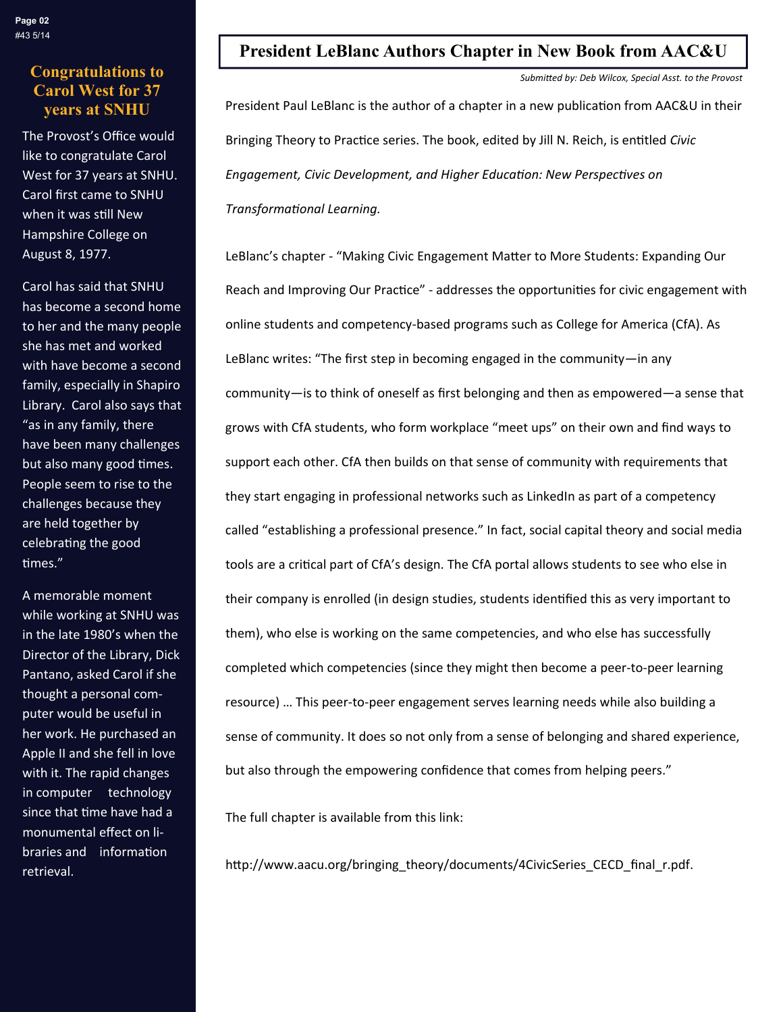## **Congratulations to Carol West for 37**

The Provost's Office would like to congratulate Carol West for 37 years at SNHU. Carol first came to SNHU when it was still New Hampshire College on August 8, 1977.

Carol has said that SNHU has become a second home to her and the many people she has met and worked with have become a second family, especially in Shapiro Library. Carol also says that "as in any family, there have been many challenges but also many good times. People seem to rise to the challenges because they are held together by celebrating the good times."

A memorable moment while working at SNHU was in the late 1980's when the Director of the Library, Dick Pantano, asked Carol if she thought a personal com‐ puter would be useful in her work. He purchased an Apple II and she fell in love with it. The rapid changes in computer technology since that time have had a monumental effect on li‐ braries and information retrieval.

## **President LeBlanc Authors Chapter in New Book from AAC&U**

*SubmiƩed by: Deb Wilcox, Special Asst. to the Provost* 

**years at SNHU** President Paul LeBlanc is the author of a chapter in a new publication from AAC&U in their Bringing Theory to Practice series. The book, edited by Jill N. Reich, is entitled *Civic Engagement, Civic Development, and Higher EducaƟon: New PerspecƟves on TransformaƟonal Learning.*

> LeBlanc's chapter - "Making Civic Engagement Matter to More Students: Expanding Our Reach and Improving Our Practice" - addresses the opportunities for civic engagement with online students and competency‐based programs such as College for America (CfA). As LeBlanc writes: "The first step in becoming engaged in the community—in any community—is to think of oneself as first belonging and then as empowered—a sense that grows with CfA students, who form workplace "meet ups" on their own and find ways to support each other. CfA then builds on that sense of community with requirements that they start engaging in professional networks such as LinkedIn as part of a competency called "establishing a professional presence." In fact, social capital theory and social media tools are a critical part of CfA's design. The CfA portal allows students to see who else in their company is enrolled (in design studies, students identified this as very important to them), who else is working on the same competencies, and who else has successfully completed which competencies (since they might then become a peer-to-peer learning resource) … This peer‐to‐peer engagement serves learning needs while also building a sense of community. It does so not only from a sense of belonging and shared experience, but also through the empowering confidence that comes from helping peers."

The full chapter is available from this link:

http://www.aacu.org/bringing\_theory/documents/4CivicSeries\_CECD\_final\_r.pdf.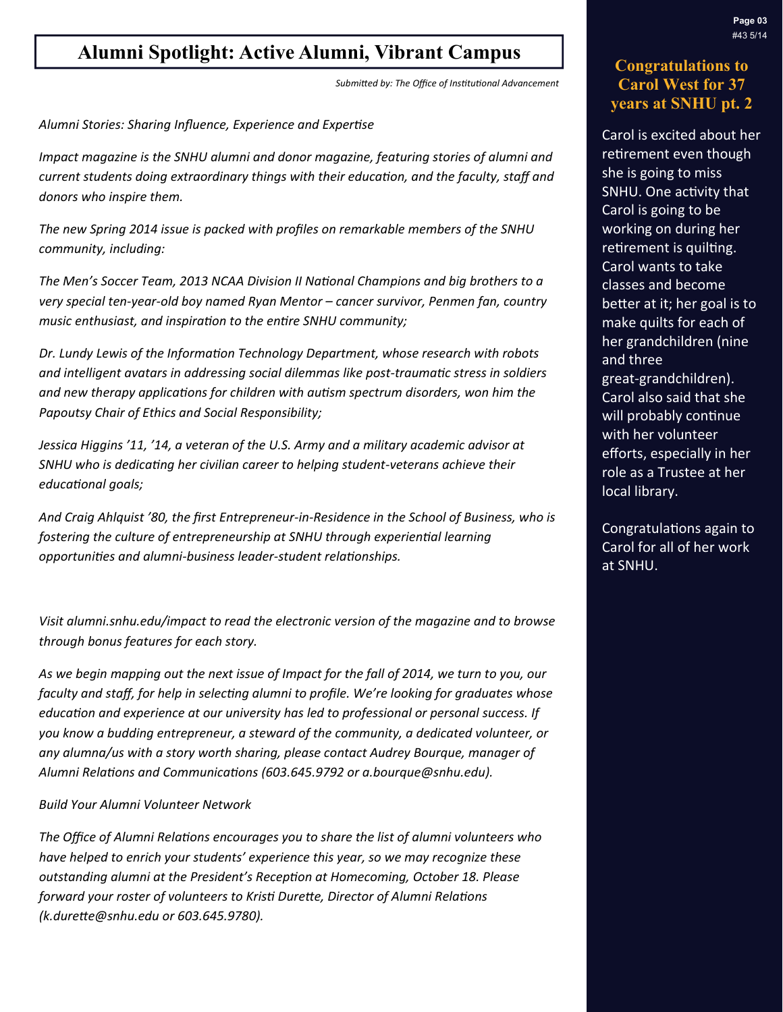## **Alumni Spotlight: Active Alumni, Vibrant Campus**

*SubmiƩed by: The Office of InsƟtuƟonal Advancement* 

*Alumni Stories: Sharing Influence, Experience and ExperƟse*

*Impact magazine is the SNHU alumni and donor magazine, featuring stories of alumni and current students doing extraordinary things with their educaƟon, and the faculty, staff and donors who inspire them.*

*The new Spring 2014 issue is packed with profiles on remarkable members of the SNHU community, including:*

*The Men's Soccer Team, 2013 NCAA Division II NaƟonal Champions and big brothers to a very special ten‐year‐old boy named Ryan Mentor – cancer survivor, Penmen fan, country music enthusiast, and inspiraƟon to the enƟre SNHU community;*

*Dr. Lundy Lewis of the InformaƟon Technology Department, whose research with robots and intelligent avatars in addressing social dilemmas like post‐traumaƟc stress in soldiers and new therapy applicaƟons for children with auƟsm spectrum disorders, won him the Papoutsy Chair of Ethics and Social Responsibility;*

*Jessica Higgins '11, '14, a veteran of the U.S. Army and a military academic advisor at SNHU who is dedicaƟng her civilian career to helping student‐veterans achieve their*   $educational$  *goals;* 

*And Craig Ahlquist '80, the first Entrepreneur‐in‐Residence in the School of Business, who is fostering the culture of entrepreneurship at SNHU through experienƟal learning opportuniƟes and alumni‐business leader‐student relaƟonships.* 

*Visit alumni.snhu.edu/impact to read the electronic version of the magazine and to browse through bonus features for each story.*

As we begin mapping out the next issue of Impact for the fall of 2014, we turn to you, our faculty and staff, for help in selecting alumni to profile. We're looking for graduates whose *educaƟon and experience at our university has led to professional or personal success. If you know a budding entrepreneur, a steward of the community, a dedicated volunteer, or any alumna/us with a story worth sharing, please contact Audrey Bourque, manager of Alumni RelaƟons and CommunicaƟons (603.645.9792 or a.bourque@snhu.edu).* 

#### *Build Your Alumni Volunteer Network*

*The Office of Alumni RelaƟons encourages you to share the list of alumni volunteers who have helped to enrich your students' experience this year, so we may recognize these outstanding alumni at the President's RecepƟon at Homecoming, October 18. Please forward your roster of volunteers to KrisƟ DureƩe, Director of Alumni RelaƟons (k.dureƩe@snhu.edu or 603.645.9780).*

### **Congratulations to Carol West for 37 years at SNHU pt. 2**

Carol is excited about her retirement even though she is going to miss SNHU. One activity that Carol is going to be working on during her retirement is quilting. Carol wants to take classes and become better at it; her goal is to make quilts for each of her grandchildren (nine and three great‐grandchildren). Carol also said that she will probably continue with her volunteer efforts, especially in her role as a Trustee at her local library.

Congratulations again to Carol for all of her work at SNHU.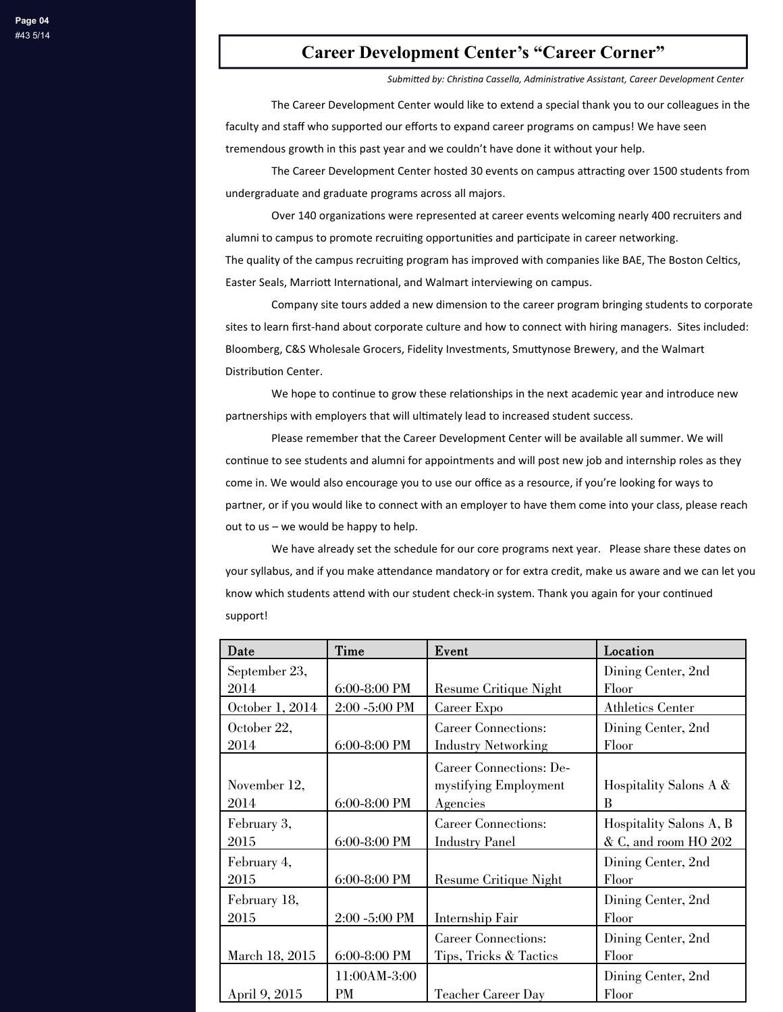#### **Career Development Center's "Career Corner"**

*SubmiƩed by: ChrisƟna Cassella, AdministraƟve Assistant, Career Development Center*

The Career Development Center would like to extend a special thank you to our colleagues in the faculty and staff who supported our efforts to expand career programs on campus! We have seen tremendous growth in this past year and we couldn't have done it without your help.

The Career Development Center hosted 30 events on campus attracting over 1500 students from undergraduate and graduate programs across all majors.

Over 140 organizations were represented at career events welcoming nearly 400 recruiters and alumni to campus to promote recruiting opportunities and participate in career networking. The quality of the campus recruiting program has improved with companies like BAE, The Boston Celtics, Easter Seals, Marriott International, and Walmart interviewing on campus.

Company site tours added a new dimension to the career program bringing students to corporate sites to learn first-hand about corporate culture and how to connect with hiring managers. Sites included: Bloomberg, C&S Wholesale Grocers, Fidelity Investments, Smuttynose Brewery, and the Walmart Distribution Center.

We hope to continue to grow these relationships in the next academic year and introduce new partnerships with employers that will ultimately lead to increased student success.

Please remember that the Career Development Center will be available all summer. We will continue to see students and alumni for appointments and will post new job and internship roles as they come in. We would also encourage you to use our office as a resource, if you're looking for ways to partner, or if you would like to connect with an employer to have them come into your class, please reach out to us – we would be happy to help.

We have already set the schedule for our core programs next year. Please share these dates on your syllabus, and if you make attendance mandatory or for extra credit, make us aware and we can let you know which students attend with our student check-in system. Thank you again for your continued support!

| Date            | Time          | Event                      | Location                |
|-----------------|---------------|----------------------------|-------------------------|
| September 23,   |               |                            | Dining Center, 2nd      |
| 2014            | 6:00-8:00 PM  | Resume Critique Night      | Floor                   |
| October 1, 2014 | 2:00 -5:00 PM | Career Expo                | Athletics Center        |
| October 22,     |               | <b>Career Connections:</b> | Dining Center, 2nd      |
| 2014            | 6:00-8:00 PM  | <b>Industry Networking</b> | Floor                   |
|                 |               | Career Connections: De-    |                         |
| November 12,    |               | mystifying Employment      | Hospitality Salons A &  |
| 2014            | 6:00-8:00 PM  | Agencies                   | B                       |
| February 3,     |               | <b>Career Connections:</b> | Hospitality Salons A, B |
| 2015            | 6:00-8:00 PM  | <b>Industry Panel</b>      | & C, and room HO 202    |
| February 4,     |               |                            | Dining Center, 2nd      |
| 2015            | 6:00-8:00 PM  | Resume Critique Night      | Floor                   |
| February 18,    |               |                            | Dining Center, 2nd      |
| 2015            | 2:00 -5:00 PM | Internship Fair            | Floor                   |
|                 |               | <b>Career Connections:</b> | Dining Center, 2nd      |
| March 18, 2015  | 6:00-8:00 PM  | Tips, Tricks & Tactics     | Floor                   |
|                 | 11:00AM-3:00  |                            | Dining Center, 2nd      |
| April 9, 2015   | PМ            | <b>Teacher Career Day</b>  | Floor                   |